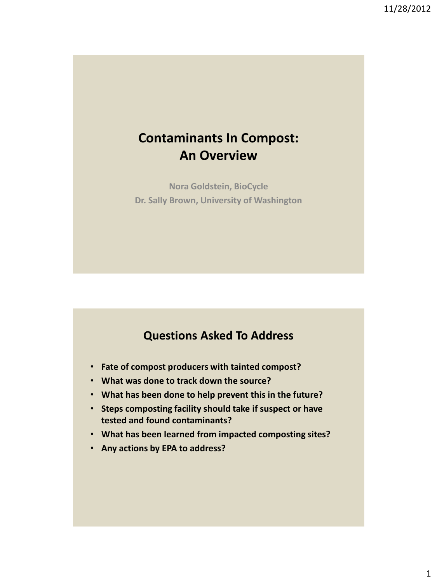# **Contaminants In Compost: An Overview**

**Nora Goldstein, BioCycle Dr. Sally Brown, University of Washington**

# **Questions Asked To Address**

- **Fate of compost producers with tainted compost?**
- **What was done to track down the source?**
- **What has been done to help prevent this in the future?**
- **Steps composting facility should take if suspect or have tested and found contaminants?**
- **What has been learned from impacted composting sites?**
- **Any actions by EPA to address?**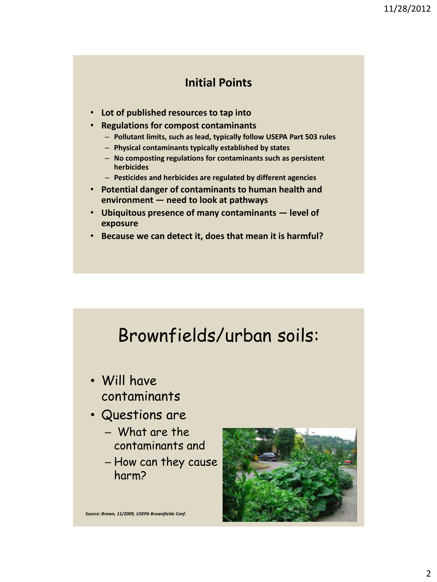### **Initial Points**

- **Lot of published resources to tap into**
- **Regulations for compost contaminants**
	- **Pollutant limits, such as lead, typically follow USEPA Part 503 rules**
	- **Physical contaminants typically established by states**
	- **No composting regulations for contaminants such as persistent herbicides**
	- **Pesticides and herbicides are regulated by different agencies**
- **Potential danger of contaminants to human health and environment — need to look at pathways**
- **Ubiquitous presence of many contaminants — level of exposure**
- **Because we can detect it, does that mean it is harmful?**

# Brownfields/urban soils:

- Will have contaminants
- Questions are
	- What are the contaminants and
	- How can they cause harm?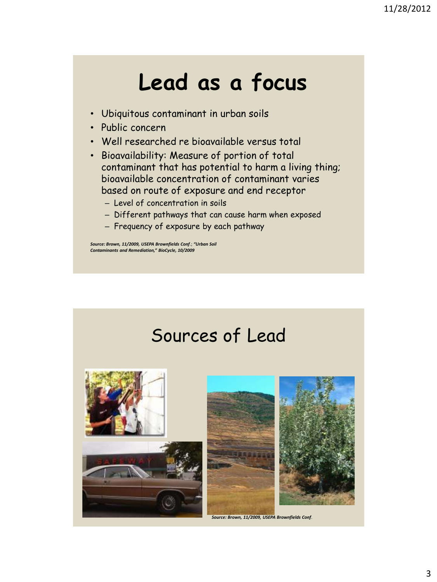# **Lead as a focus**

- Ubiquitous contaminant in urban soils
- Public concern
- Well researched re bioavailable versus total
- Bioavailability: Measure of portion of total contaminant that has potential to harm a living thing; bioavailable concentration of contaminant varies based on route of exposure and end receptor
	- Level of concentration in soils
	- Different pathways that can cause harm when exposed
	- Frequency of exposure by each pathway

*Source: Brown, 11/2009, USEPA Brownfields Conf*.; *"Urban Soil Contaminants and Remediation," BioCycle, 10/2009*

# Sources of Lead



*Source: Brown, 11/2009, USEPA Brownfields Conf*.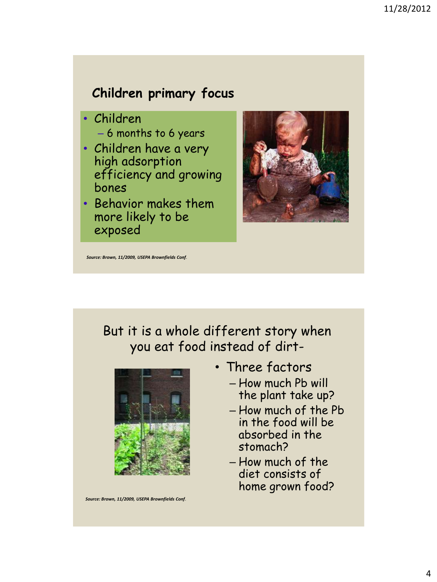# **Children primary focus**

- Children
	- 6 months to 6 years
- Children have a very high adsorption efficiency and growing bones
- Behavior makes them more likely to be exposed



*Source: Brown, 11/2009, USEPA Brownfields Conf*.

# But it is a whole different story when you eat food instead of dirt-



*Source: Brown, 11/2009, USEPA Brownfields Conf*.

- Three factors
	- How much Pb will the plant take up?
	- How much of the Pb in the food will be absorbed in the stomach?
	- How much of the diet consists of home grown food?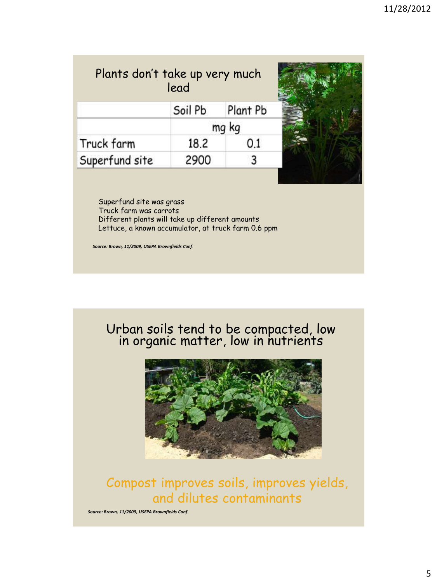| lead    |          |                                         |
|---------|----------|-----------------------------------------|
| Soil Pb | Plant Pb |                                         |
|         |          |                                         |
| 18.2    | 0.1      |                                         |
| 2900    |          |                                         |
|         |          | Plants don't take up very much<br>mg kg |

Superfund site was grass Truck farm was carrots Different plants will take up different amounts Lettuce, a known accumulator, at truck farm 0.6 ppm

*Source: Brown, 11/2009, USEPA Brownfields Conf*.

#### Urban soils tend to be compacted, low in organic matter, low in hutrients



# Compost improves soils, improves yields, and dilutes contaminants

*Source: Brown, 11/2009, USEPA Brownfields Conf*.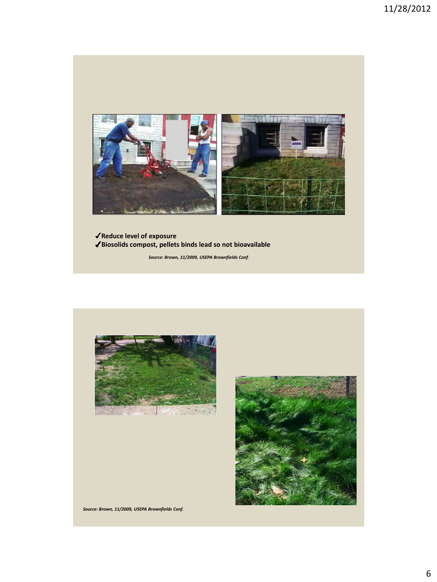

✔**Reduce level of exposure** ✔**Biosolids compost, pellets binds lead so not bioavailable**

*Source: Brown, 11/2009, USEPA Brownfields Conf*.





*Source: Brown, 11/2009, USEPA Brownfields Conf*.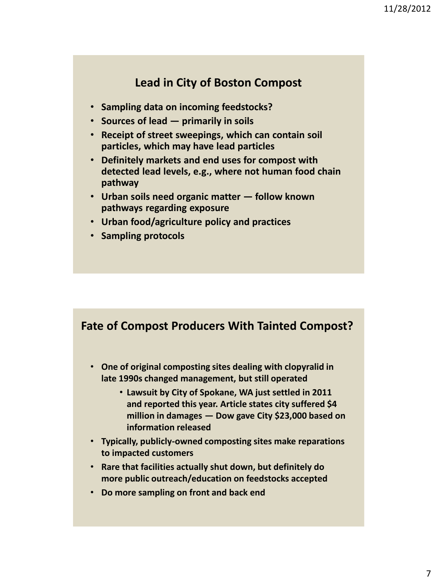# **Lead in City of Boston Compost**

- **Sampling data on incoming feedstocks?**
- **Sources of lead — primarily in soils**
- **Receipt of street sweepings, which can contain soil particles, which may have lead particles**
- **Definitely markets and end uses for compost with detected lead levels, e.g., where not human food chain pathway**
- **Urban soils need organic matter — follow known pathways regarding exposure**
- **Urban food/agriculture policy and practices**
- **Sampling protocols**

### **Fate of Compost Producers With Tainted Compost?**

- **One of original composting sites dealing with clopyralid in late 1990s changed management, but still operated**
	- **Lawsuit by City of Spokane, WA just settled in 2011 and reported this year. Article states city suffered \$4 million in damages — Dow gave City \$23,000 based on information released**
- **Typically, publicly-owned composting sites make reparations to impacted customers**
- **Rare that facilities actually shut down, but definitely do more public outreach/education on feedstocks accepted**
- **Do more sampling on front and back end**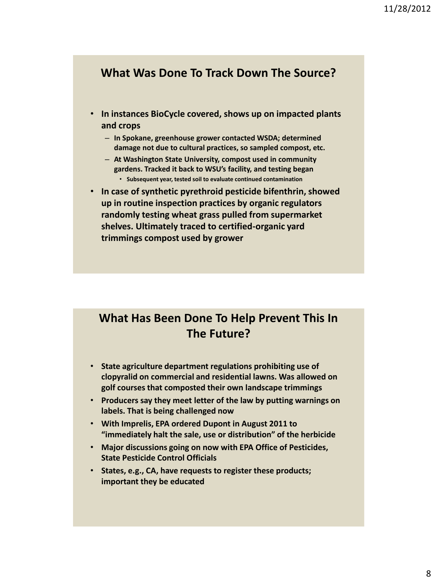#### **What Was Done To Track Down The Source?**

- **In instances BioCycle covered, shows up on impacted plants and crops**
	- **In Spokane, greenhouse grower contacted WSDA; determined damage not due to cultural practices, so sampled compost, etc.**
	- **At Washington State University, compost used in community gardens. Tracked it back to WSU's facility, and testing began** • **Subsequent year, tested soil to evaluate continued contamination**
- **In case of synthetic pyrethroid pesticide bifenthrin, showed up in routine inspection practices by organic regulators randomly testing wheat grass pulled from supermarket shelves. Ultimately traced to certified-organic yard trimmings compost used by grower**

# **What Has Been Done To Help Prevent This In The Future?**

- **State agriculture department regulations prohibiting use of clopyralid on commercial and residential lawns. Was allowed on golf courses that composted their own landscape trimmings**
- **Producers say they meet letter of the law by putting warnings on labels. That is being challenged now**
- **With Imprelis, EPA ordered Dupont in August 2011 to "immediately halt the sale, use or distribution" of the herbicide**
- **Major discussions going on now with EPA Office of Pesticides, State Pesticide Control Officials**
- **States, e.g., CA, have requests to register these products; important they be educated**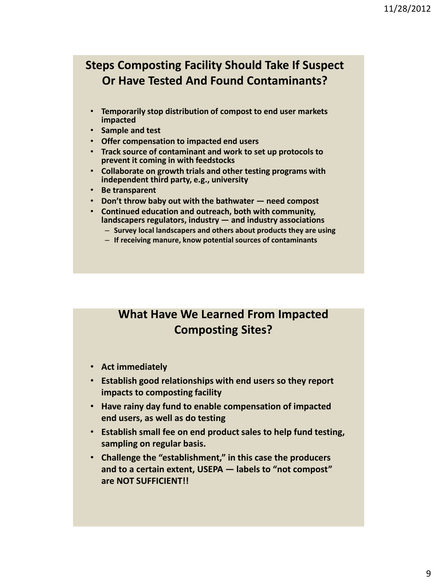# **Steps Composting Facility Should Take If Suspect Or Have Tested And Found Contaminants?**

- **Temporarily stop distribution of compost to end user markets impacted**
- **Sample and test**
- **Offer compensation to impacted end users**
- **Track source of contaminant and work to set up protocols to prevent it coming in with feedstocks**
- **Collaborate on growth trials and other testing programs with independent third party, e.g., university**
- **Be transparent**
- **Don't throw baby out with the bathwater — need compost**
- **Continued education and outreach, both with community, landscapers regulators, industry — and industry associations**
	- **Survey local landscapers and others about products they are using**
	- **If receiving manure, know potential sources of contaminants**

# **What Have We Learned From Impacted Composting Sites?**

- **Act immediately**
- **Establish good relationships with end users so they report impacts to composting facility**
- **Have rainy day fund to enable compensation of impacted end users, as well as do testing**
- **Establish small fee on end product sales to help fund testing, sampling on regular basis.**
- **Challenge the "establishment," in this case the producers and to a certain extent, USEPA — labels to "not compost" are NOT SUFFICIENT!!**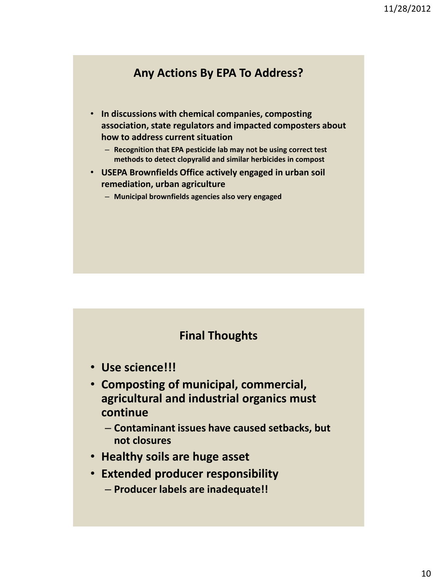# **Any Actions By EPA To Address?**

- **In discussions with chemical companies, composting association, state regulators and impacted composters about how to address current situation**
	- **Recognition that EPA pesticide lab may not be using correct test methods to detect clopyralid and similar herbicides in compost**
- **USEPA Brownfields Office actively engaged in urban soil remediation, urban agriculture** 
	- **Municipal brownfields agencies also very engaged**

#### **Final Thoughts**

- **Use science!!!**
- **Composting of municipal, commercial, agricultural and industrial organics must continue**

– **Contaminant issues have caused setbacks, but not closures**

- **Healthy soils are huge asset**
- **Extended producer responsibility**
	- **Producer labels are inadequate!!**